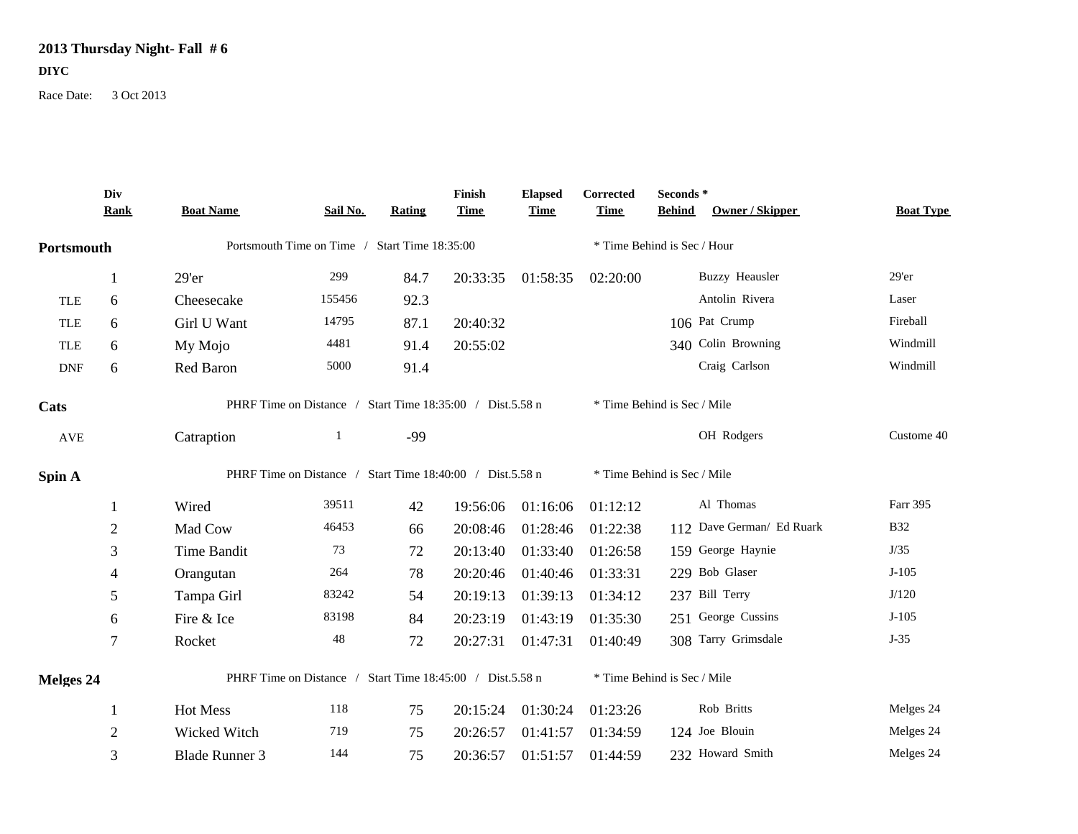## **2013 Thursday Night- Fall # 6 DIYC**

Race Date: 3 Oct 2013

|            | Div<br><b>Rank</b> | <b>Boat Name</b>                                          | Sail No.    | Rating | Finish<br><b>Time</b> | <b>Elapsed</b><br><b>Time</b> | Corrected<br><b>Time</b>    | Seconds *<br><b>Behind</b> | <b>Owner / Skipper</b>    | <b>Boat Type</b> |  |
|------------|--------------------|-----------------------------------------------------------|-------------|--------|-----------------------|-------------------------------|-----------------------------|----------------------------|---------------------------|------------------|--|
| Portsmouth |                    | Portsmouth Time on Time / Start Time 18:35:00             |             |        |                       |                               | * Time Behind is Sec / Hour |                            |                           |                  |  |
|            |                    | 29'er                                                     | 299         | 84.7   | 20:33:35              | 01:58:35                      | 02:20:00                    |                            | <b>Buzzy Heausler</b>     | $29'$ er         |  |
| <b>TLE</b> | 6                  | Cheesecake                                                | 155456      | 92.3   |                       |                               |                             |                            | Antolin Rivera            | Laser            |  |
| TLE        | 6                  | Girl U Want                                               | 14795       | 87.1   | 20:40:32              |                               |                             |                            | 106 Pat Crump             | Fireball         |  |
| <b>TLE</b> | 6                  | My Mojo                                                   | 4481        | 91.4   | 20:55:02              |                               |                             |                            | 340 Colin Browning        | Windmill         |  |
| <b>DNF</b> | 6                  | Red Baron                                                 | 5000        | 91.4   |                       |                               |                             |                            | Craig Carlson             | Windmill         |  |
| Cats       |                    | PHRF Time on Distance / Start Time 18:35:00 / Dist.5.58 n |             |        |                       |                               | * Time Behind is Sec / Mile |                            |                           |                  |  |
| <b>AVE</b> |                    | Catraption                                                | -1          | $-99$  |                       |                               |                             |                            | OH Rodgers                | Custome 40       |  |
| Spin A     |                    | PHRF Time on Distance / Start Time 18:40:00 / Dist.5.58 n |             |        |                       |                               | * Time Behind is Sec / Mile |                            |                           |                  |  |
|            | $\mathbf{1}$       | Wired                                                     | 39511       | 42     | 19:56:06              | 01:16:06                      | 01:12:12                    |                            | Al Thomas                 | Farr 395         |  |
|            | $\mathbf{2}$       | Mad Cow                                                   | 46453       | 66     | 20:08:46              | 01:28:46                      | 01:22:38                    |                            | 112 Dave German/ Ed Ruark | <b>B32</b>       |  |
|            | 3                  | Time Bandit                                               | 73          | 72     | 20:13:40              | 01:33:40                      | 01:26:58                    |                            | 159 George Haynie         | J/35             |  |
|            | 4                  | Orangutan                                                 | 264         | 78     | 20:20:46              | 01:40:46                      | 01:33:31                    |                            | 229 Bob Glaser            | $J-105$          |  |
|            | 5                  | Tampa Girl                                                | 83242       | 54     | 20:19:13              | 01:39:13                      | 01:34:12                    |                            | 237 Bill Terry            | J/120            |  |
|            | 6                  | Fire & Ice                                                | 83198       | 84     | 20:23:19              | 01:43:19                      | 01:35:30                    |                            | 251 George Cussins        | $J-105$          |  |
|            | 7                  | Rocket                                                    | $\sqrt{48}$ | 72     | 20:27:31              | 01:47:31                      | 01:40:49                    |                            | 308 Tarry Grimsdale       | $J-35$           |  |
| Melges 24  |                    | PHRF Time on Distance / Start Time 18:45:00 / Dist.5.58 n |             |        |                       |                               | * Time Behind is Sec / Mile |                            |                           |                  |  |
|            | 1                  | Hot Mess                                                  | 118         | 75     | 20:15:24              | 01:30:24                      | 01:23:26                    |                            | Rob Britts                | Melges 24        |  |
|            | $\overline{2}$     | Wicked Witch                                              | 719         | 75     | 20:26:57              | 01:41:57                      | 01:34:59                    |                            | 124 Joe Blouin            | Melges 24        |  |
|            | 3                  | <b>Blade Runner 3</b>                                     | 144         | 75     | 20:36:57              | 01:51:57                      | 01:44:59                    |                            | 232 Howard Smith          | Melges 24        |  |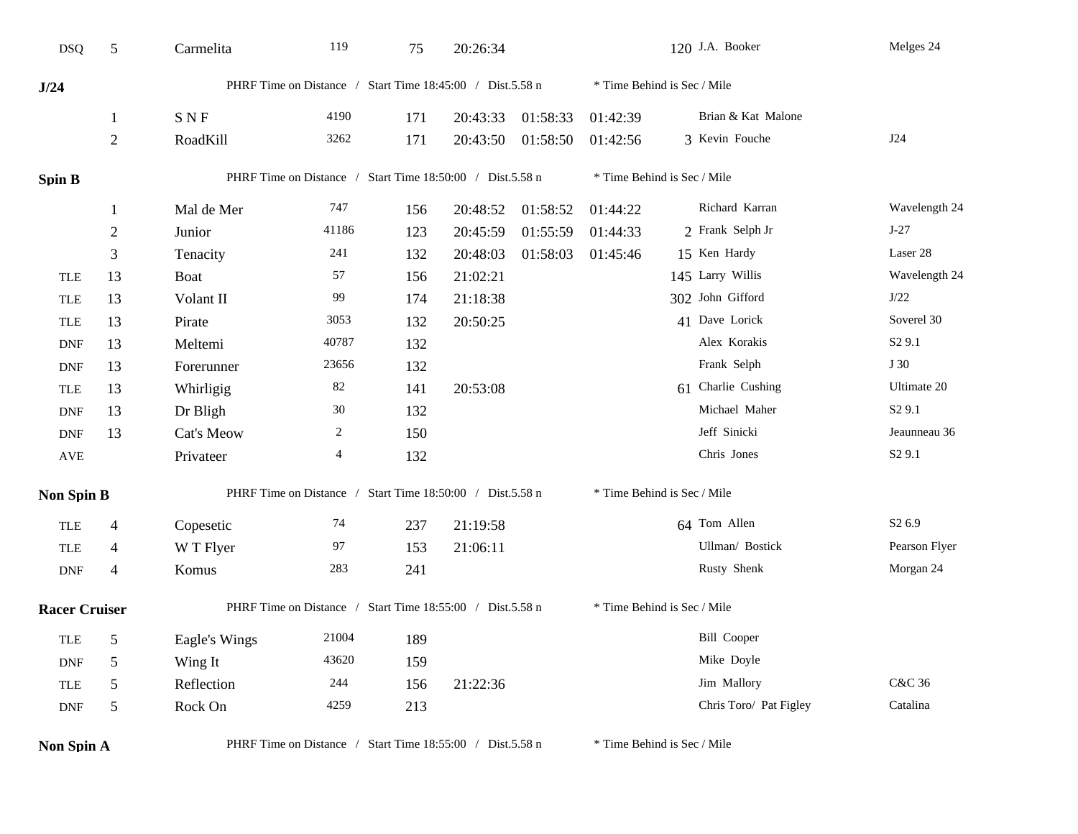| <b>DSQ</b>           | 5                                                                                 | Carmelita                                                 | 119                                                       | 75  | 20:26:34 |          |                             | 120 J.A. Booker             | Melges 24          |
|----------------------|-----------------------------------------------------------------------------------|-----------------------------------------------------------|-----------------------------------------------------------|-----|----------|----------|-----------------------------|-----------------------------|--------------------|
| J/24                 |                                                                                   |                                                           | PHRF Time on Distance / Start Time 18:45:00 / Dist.5.58 n |     |          |          |                             | * Time Behind is Sec / Mile |                    |
|                      | 1                                                                                 | <b>SNF</b>                                                | 4190                                                      | 171 | 20:43:33 | 01:58:33 | 01:42:39                    | Brian & Kat Malone          |                    |
|                      | $\overline{2}$                                                                    | RoadKill                                                  | 3262                                                      | 171 | 20:43:50 | 01:58:50 | 01:42:56                    | 3 Kevin Fouche              | J24                |
| Spin B               |                                                                                   |                                                           | PHRF Time on Distance / Start Time 18:50:00 / Dist.5.58 n |     |          |          | * Time Behind is Sec / Mile |                             |                    |
|                      |                                                                                   | Mal de Mer                                                | 747                                                       | 156 | 20:48:52 | 01:58:52 | 01:44:22                    | Richard Karran              | Wavelength 24      |
|                      | $\overline{2}$                                                                    | Junior                                                    | 41186                                                     | 123 | 20:45:59 | 01:55:59 | 01:44:33                    | 2 Frank Selph Jr            | $J-27$             |
|                      | 3                                                                                 | Tenacity                                                  | 241                                                       | 132 | 20:48:03 | 01:58:03 | 01:45:46                    | 15 Ken Hardy                | Laser 28           |
| <b>TLE</b>           | 13                                                                                | <b>Boat</b>                                               | 57                                                        | 156 | 21:02:21 |          |                             | 145 Larry Willis            | Wavelength 24      |
| <b>TLE</b>           | 13                                                                                | Volant II                                                 | 99                                                        | 174 | 21:18:38 |          |                             | 302 John Gifford            | J/22               |
| <b>TLE</b>           | 13                                                                                | Pirate                                                    | 3053                                                      | 132 | 20:50:25 |          |                             | 41 Dave Lorick              | Soverel 30         |
| <b>DNF</b>           | 13                                                                                | Meltemi                                                   | 40787                                                     | 132 |          |          |                             | Alex Korakis                | S <sub>2</sub> 9.1 |
| <b>DNF</b>           | 13                                                                                | Forerunner                                                | 23656                                                     | 132 |          |          |                             | Frank Selph                 | J 30               |
| <b>TLE</b>           | 13                                                                                | Whirligig                                                 | $82\,$                                                    | 141 | 20:53:08 |          |                             | 61 Charlie Cushing          | Ultimate 20        |
| <b>DNF</b>           | 13                                                                                | Dr Bligh                                                  | $30\,$                                                    | 132 |          |          |                             | Michael Maher               | S <sub>2</sub> 9.1 |
| <b>DNF</b>           | 13                                                                                | Cat's Meow                                                | 2                                                         | 150 |          |          |                             | Jeff Sinicki                | Jeaunneau 36       |
| $\operatorname{AVE}$ |                                                                                   | Privateer                                                 | 4                                                         | 132 |          |          |                             | Chris Jones                 | S <sub>2</sub> 9.1 |
| <b>Non Spin B</b>    |                                                                                   | PHRF Time on Distance / Start Time 18:50:00 / Dist.5.58 n |                                                           |     |          |          |                             | * Time Behind is Sec / Mile |                    |
| <b>TLE</b>           | $\overline{4}$                                                                    | Copesetic                                                 | 74                                                        | 237 | 21:19:58 |          |                             | 64 Tom Allen                | S <sub>2</sub> 6.9 |
| <b>TLE</b>           | $\overline{4}$                                                                    | W T Flyer                                                 | 97                                                        | 153 | 21:06:11 |          |                             | Ullman/ Bostick             | Pearson Flyer      |
| <b>DNF</b>           | 4                                                                                 | Komus                                                     | 283                                                       | 241 |          |          |                             | Rusty Shenk                 | Morgan 24          |
|                      | PHRF Time on Distance / Start Time 18:55:00 / Dist.5.58 n<br><b>Racer Cruiser</b> |                                                           |                                                           |     |          |          | * Time Behind is Sec / Mile |                             |                    |
| <b>TLE</b>           | $\sqrt{5}$                                                                        | Eagle's Wings                                             | 21004                                                     | 189 |          |          |                             | <b>Bill Cooper</b>          |                    |
| <b>DNF</b>           | $\sqrt{5}$                                                                        | Wing It                                                   | 43620                                                     | 159 |          |          |                             | Mike Doyle                  |                    |
| <b>TLE</b>           | $\sqrt{5}$                                                                        | Reflection                                                | $244\,$                                                   | 156 | 21:22:36 |          |                             | Jim Mallory                 | C&C 36             |
| <b>DNF</b>           | $\sqrt{5}$                                                                        | Rock On                                                   | 4259                                                      | 213 |          |          |                             | Chris Toro/ Pat Figley      | Catalina           |
| Non Spin A           |                                                                                   |                                                           | PHRF Time on Distance / Start Time 18:55:00 / Dist.5.58 n |     |          |          |                             | * Time Behind is Sec / Mile |                    |